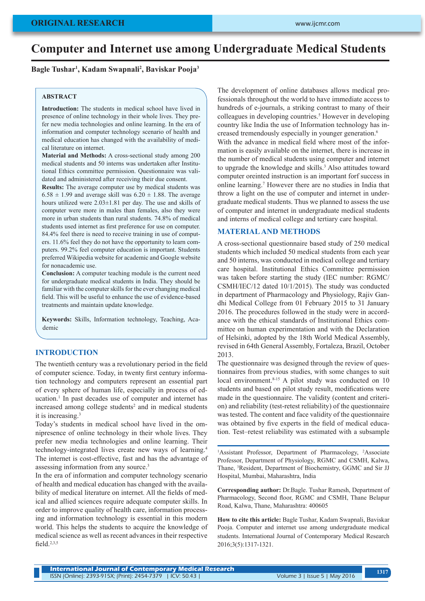# **Computer and Internet use among Undergraduate Medical Students**

# **Bagle Tushar1 , Kadam Swapnali2 , Baviskar Pooja3**

### **ABSTRACT**

**Introduction:** The students in medical school have lived in presence of online technology in their whole lives. They prefer new media technologies and online learning. In the era of information and computer technology scenario of health and medical education has changed with the availability of medical literature on internet.

**Material and Methods:** A cross-sectional study among 200 medical students and 50 interns was undertaken after Institutional Ethics committee permission. Questionnaire was validated and administered after receiving their due consent.

**Results:** The average computer use by medical students was  $6.58 \pm 1.99$  and average skill was  $6.20 \pm 1.88$ . The average hours utilized were 2.03±1.81 per day. The use and skills of computer were more in males than females, also they were more in urban students than rural students. 74.8% of medical students used internet as first preference for use on computer. 84.4% feel there is need to receive training in use of computers. 11.6% feel they do not have the opportunity to learn computers. 99.2% feel computer education is important. Students preferred Wikipedia website for academic and Google website for nonacademic use.

**Conclusion:** A computer teaching module is the current need for undergraduate medical students in India. They should be familiar with the computer skills for the ever changing medical field. This will be useful to enhance the use of evidence-based treatments and maintain update knowledge.

**Keywords:** Skills, Information technology, Teaching, Academic

# **INTRODUCTION**

The twentieth century was a revolutionary period in the field of computer science. Today, in twenty first century information technology and computers represent an essential part of every sphere of human life, especially in process of education.1 In past decades use of computer and internet has increased among college students<sup>2</sup> and in medical students it is increasing.3

Today's students in medical school have lived in the omnipresence of online technology in their whole lives. They prefer new media technologies and online learning. Their technology-integrated lives create new ways of learning.4 The internet is cost-effective, fast and has the advantage of assessing information from any source.<sup>3</sup>

In the era of information and computer technology scenario of health and medical education has changed with the availability of medical literature on internet. All the fields of medical and allied sciences require adequate computer skills. In order to improve quality of health care, information processing and information technology is essential in this modern world. This helps the students to acquire the knowledge of medical science as well as recent advances in their respective field.2,3,5

The development of online databases allows medical professionals throughout the world to have immediate access to hundreds of e-journals, a striking contrast to many of their colleagues in developing countries.<sup>5</sup> However in developing country like India the use of Information technology has increased tremendously especially in younger generation.6

With the advance in medical field where most of the information is easily available on the internet, there is increase in the number of medical students using computer and internet to upgrade the knowledge and skills.<sup>3</sup> Also attitudes toward computer oreinted instruction is an important forf success in online learning.7 However there are no studies in India that throw a light on the use of computer and internet in undergraduate medical students. Thus we planned to assess the use of computer and internet in undergraduate medical students and interns of medical college and tertiary care hospital.

# **MATERIAL AND METHODS**

A cross-sectional questionnaire based study of 250 medical students which included 50 medical students from each year and 50 interns, was conducted in medical college and tertiary care hospital. Institutional Ethics Committee permission was taken before starting the study (IEC number: RGMC/ CSMH/IEC/12 dated 10/1/2015). The study was conducted in department of Pharmacology and Physiology, Rajiv Gandhi Medical College from 01 February 2015 to 31 January 2016. The procedures followed in the study were in accordance with the ethical standards of Institutional Ethics committee on human experimentation and with the Declaration of Helsinki, adopted by the 18th World Medical Assembly, revised in 64th General Assembly, Fortaleza, Brazil, October 2013.

The questionnaire was designed through the review of questionnaires from previous studies, with some changes to suit local environment.<sup>8-15</sup> A pilot study was conducted on 10 students and based on pilot study result, modifications were made in the questionnaire. The validity (content and criterion) and reliability (test-retest reliability) of the questionnaire was tested. The content and face validity of the questionnaire was obtained by five experts in the field of medical education. Test–retest reliability was estimated with a subsample

<sup>1</sup>Assistant Professor, Department of Pharmacology, <sup>2</sup>Associate Professor, Department of Physiology, RGMC and CSMH, Kalwa, Thane, 3 Resident, Department of Biochemistry, GGMC and Sir JJ Hospital, Mumbai, Maharashtra, India

**Corresponding author:** Dr.Bagle. Tushar Ramesh, Department of Pharmacology, Second floor, RGMC and CSMH, Thane Belapur Road, Kalwa, Thane, Maharashtra: 400605

**How to cite this article:** Bagle Tushar, Kadam Swapnali, Baviskar Pooja. Computer and internet use among undergraduate medical students. International Journal of Contemporary Medical Research 2016;3(5):1317-1321.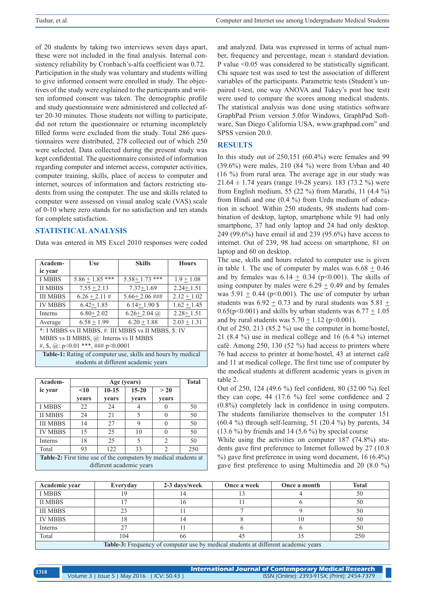of 20 students by taking two interviews seven days apart, these were not included in the final analysis. Internal consistency reliability by Cronbach's-alfa coefficient was 0.72. Participation in the study was voluntary and students willing to give informed consent were enrolled in study. The objectives of the study were explained to the participants and written informed consent was taken. The demographic profile and study questionnaire were administered and collected after 20-30 minutes. Those students not willing to participate, did not return the questionnaire or returning incompletely filled forms were excluded from the study. Total 286 questionnaires were distributed, 278 collected out of which 250 were selected. Data collected during the present study was kept confidential. The questionnaire consisted of information regarding computer and internet access, computer activities, computer training, skills, place of access to computer and internet, sources of information and factors restricting students from using the computer. The use and skills related to computer were assessed on visual analog scale (VAS) scale of 0-10 where zero stands for no satisfaction and ten stands for complete satisfaction.

# **STATISTICAL ANALYSIS**

Data was entered in MS Excel 2010 responses were coded

| Academ-                                              | <b>Use</b>                                      | <b>Skills</b>     | <b>Hours</b>  |  |  |  |  |  |  |
|------------------------------------------------------|-------------------------------------------------|-------------------|---------------|--|--|--|--|--|--|
| ic year                                              |                                                 |                   |               |  |  |  |  |  |  |
| <b>I MBBS</b>                                        | $5.86 + 1.85$ ***                               | $5.58 + 1.73$ *** | $1.9 + 1.08$  |  |  |  |  |  |  |
| <b>II MBBS</b>                                       | $7.55 + 2.13$                                   | $7.37 + 1.69$     | $2.24 + 1.51$ |  |  |  |  |  |  |
| <b>III MBBS</b>                                      | $6.26 + 2.11 \#$                                | $5.66 + 2.06$ ### | $2.12 + 1.02$ |  |  |  |  |  |  |
| <b>IV MBBS</b>                                       | $6.42 + 1.85$                                   | $6.14 + 1.90$ \$  | $1.62 + 1.45$ |  |  |  |  |  |  |
| <b>Interns</b>                                       | $6.80 + 2.02$                                   | $6.26 + 2.04$ (a) | $2.28 + 1.51$ |  |  |  |  |  |  |
| Average                                              | $6.20 + 1.88$<br>$6.58 + 1.99$<br>$2.03 + 1.31$ |                   |               |  |  |  |  |  |  |
| *: I MBBS vs II MBBS, #: III MBBS vs II MBBS, \$: IV |                                                 |                   |               |  |  |  |  |  |  |
| MBBS vs II MBBS, $(a)$ : Interns vs II MBBS          |                                                 |                   |               |  |  |  |  |  |  |
| #, \$, @: $p<0.01$ ***, ### $p<0.0001$               |                                                 |                   |               |  |  |  |  |  |  |

**Table-1:** Rating of computer use, skills and hours by medical students at different academic years

| Academ-                                                         |       | <b>Total</b> |           |                |     |  |  |  |  |
|-----------------------------------------------------------------|-------|--------------|-----------|----------------|-----|--|--|--|--|
| ic year                                                         | < 10  | $10-15$      | $15 - 20$ | >20            |     |  |  |  |  |
|                                                                 | years | years        | years     | years          |     |  |  |  |  |
| <b>I MBBS</b>                                                   | 22    | 24           |           |                | 50  |  |  |  |  |
| <b>II MBBS</b>                                                  | 24    | 21           | 5         |                | 50  |  |  |  |  |
| <b>III MBBS</b>                                                 | 14    | 27           | 9         | 0              | 50  |  |  |  |  |
| <b>IV MBBS</b>                                                  | 15    | 25           | 10        |                | 50  |  |  |  |  |
| Interns                                                         | 18    | 25           | 5         | $\overline{2}$ | 50  |  |  |  |  |
| Total                                                           | 93    | 122          | 33        | $\mathfrak{D}$ | 250 |  |  |  |  |
| Table-2: First time use of the computers by medical students at |       |              |           |                |     |  |  |  |  |
| different academic years                                        |       |              |           |                |     |  |  |  |  |

and analyzed. Data was expressed in terms of actual number, frequency and percentage, mean  $\pm$  standard deviation. P value <0.05 was considered to be statistically significant. Chi square test was used to test the association of different variables of the participants. Parametric tests (Student's unpaired t-test, one way ANOVA and Tukey's post hoc test) were used to compare the scores among medical students. The statistical analysis was done using statistics software GraphPad Prism version 5.0for Windows, GraphPad Software, San Diego California USA, www.graphpad.com" and SPSS version 20.0.

# **RESULTS**

In this study out of 250,151 (60.4%) were females and 99 (39.6%) were males, 210 (84 %) were from Urban and 40 (16 %) from rural area. The average age in our study was 21.64  $\pm$  1.74 years (range 19-28 years). 183 (73.2 %) were from English medium, 55 (22 %) from Marathi, 11 (4.4 %) from Hindi and one (0.4 %) from Urdu medium of education in school. Within 250 students, 98 students had combination of desktop, laptop, smartphone while 91 had only smartphone, 37 had only laptop and 24 had only desktop. 249 (99.6%) have email id and 239 (95.6%) have access to internet. Out of 239, 98 had access on smartphone, 81 on laptop and 60 on desktop.

The use, skills and hours related to computer use is given in table 1. The use of computer by males was  $6.68 \pm 0.46$ and by females was  $6.14 \pm 0.34$  (p<0.001). The skills of using computer by males were  $6.29 \pm 0.49$  and by females was  $5.91 + 0.44$  (p<0.001). The use of computer by urban students was  $6.92 \pm 0.73$  and by rural students was  $5.81 \pm$ 0.65(p<0.001) and skills by urban students was  $6.77 \pm 1.05$ and by rural students was  $5.70 \pm 1.12$  (p<0.001).

Out of 250, 213 (85.2 %) use the computer in home/hostel, 21 (8.4 %) use in medical college and 16 (6.4 %) internet café. Among 250, 130 (52 %) had access to printers where 76 had access to printer at home/hostel, 43 at internet café and 11 at medical college. The first time use of computer by the medical students at different academic years is given in table 2.

Out of 250, 124 (49.6 %) feel confident, 80 (32.00 %) feel they can cope, 44 (17.6 %) feel some confidence and 2 (0.8%) completely lack in confidence in using computers. The students familiarize themselves to the computer 151 (60.4 %) through self-learning, 51 (20.4 %) by parents, 34  $(13.6\%)$  by friends and 14  $(5.6\%)$  by special course

While using the activities on computer 187 (74.8%) students gave first preference to Internet followed by 27 (10.8 %) gave first preference in using word document, 16 (6.4%) gave first preference to using Multimedia and 20 (8.0 %)

| Academic year                                                                      | Everyday | 2-3 days/week | Once a week | Once a month | <b>Total</b> |  |  |  |
|------------------------------------------------------------------------------------|----------|---------------|-------------|--------------|--------------|--|--|--|
| <b>I MBBS</b>                                                                      |          |               |             |              | 50           |  |  |  |
| <b>II MBBS</b>                                                                     |          |               |             |              | 50           |  |  |  |
| <b>III MBBS</b>                                                                    | 23       |               |             |              | 50           |  |  |  |
| <b>IV MBBS</b>                                                                     | 18       |               |             | 10           | 50           |  |  |  |
| Interns                                                                            | 27       |               |             |              | 50           |  |  |  |
| Total                                                                              | 104      | 66            |             |              | 250          |  |  |  |
| Table-3: Frequency of computer use by medical students at different academic years |          |               |             |              |              |  |  |  |

**Table-3:** Frequency of computer use by medical students at different academic years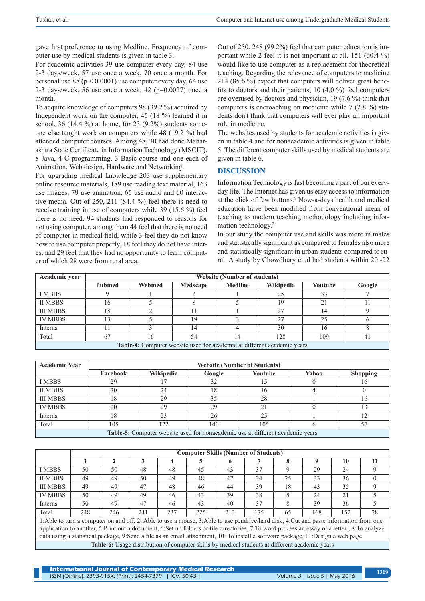gave first preference to using Medline. Frequency of computer use by medical students is given in table 3.

For academic activities 39 use computer every day, 84 use 2-3 days/week, 57 use once a week, 70 once a month. For personal use  $88 (p \le 0.0001)$  use computer every day, 64 use 2-3 days/week, 56 use once a week, 42 ( $p=0.0027$ ) once a month.

To acquire knowledge of computers 98 (39.2 %) acquired by Independent work on the computer, 45 (18 %) learned it in school, 36 (14.4 %) at home, for 23 (9.2%) students someone else taught work on computers while 48 (19.2 %) had attended computer courses. Among 48, 30 had done Maharashtra State Certificate in Information Technology (MSCIT), 8 Java, 4 C-programming, 3 Basic course and one each of Animation, Web design, Hardware and Networking.

For upgrading medical knowledge 203 use supplementary online resource materials, 189 use reading text material, 163 use images, 79 use animation, 65 use audio and 60 interactive media. Out of 250, 211 (84.4 %) feel there is need to receive training in use of computers while 39 (15.6 %) feel there is no need. 94 students had responded to reasons for not using computer, among them 44 feel that there is no need of computer in medical field, while 3 feel they do not know how to use computer properly, 18 feel they do not have interest and 29 feel that they had no opportunity to learn computer of which 28 were from rural area.

Out of 250, 248 (99.2%) feel that computer education is important while 2 feel it is not important at all. 151 (60.4 %) would like to use computer as a replacement for theoretical teaching. Regarding the relevance of computers to medicine 214 (85.6 %) expect that computers will deliver great benefits to doctors and their patients, 10 (4.0 %) feel computers are overused by doctors and physician, 19 (7.6 %) think that computers is encroaching on medicine while 7 (2.8 %) students don't think that computers will ever play an important role in medicine.

The websites used by students for academic activities is given in table 4 and for nonacademic activities is given in table 5. The different computer skills used by medical students are given in table 6.

#### **DISCUSSION**

Information Technology is fast becoming a part of our everyday life. The Internet has given us easy access to information at the click of few buttons.<sup>9</sup> Now-a-days health and medical education have been modified from conventional mean of teaching to modern teaching methodology including information technology.2

In our study the computer use and skills was more in males and statistically significant as compared to females also more and statistically significant in urban students compared to rural. A study by Chowdhury et al had students within 20 -22

| Academic year                                                           | <b>Website (Number of students)</b> |        |          |                |                  |         |        |  |  |
|-------------------------------------------------------------------------|-------------------------------------|--------|----------|----------------|------------------|---------|--------|--|--|
|                                                                         | <b>Pubmed</b>                       | Webmed | Medscape | <b>Medline</b> | <b>Wikipedia</b> | Youtube | Google |  |  |
| I MBBS                                                                  |                                     |        |          |                | 25               | 33      |        |  |  |
| <b>II MBBS</b>                                                          | 16                                  |        |          |                | 19               | 21      |        |  |  |
| <b>III MBBS</b>                                                         | 18                                  |        |          |                | 27               | ، 4     |        |  |  |
| <b>IV MBBS</b>                                                          |                                     |        | 19       |                | 27               | 25      |        |  |  |
| Interns                                                                 |                                     |        | 14       |                | 30               | 16      |        |  |  |
| Total                                                                   | 67                                  | 16     | 54       |                | 128              | 109     | 41     |  |  |
| Table-4: Computer website used for academic at different academic years |                                     |        |          |                |                  |         |        |  |  |

| <b>Academic Year</b>                                                                  | <b>Website (Number of Students)</b> |           |        |         |       |                 |  |  |  |
|---------------------------------------------------------------------------------------|-------------------------------------|-----------|--------|---------|-------|-----------------|--|--|--|
|                                                                                       | Facebook                            | Wikipedia | Google | Youtube | Yahoo | <b>Shopping</b> |  |  |  |
| <b>I MBBS</b>                                                                         | 29                                  |           | 32     | 15      |       | 16              |  |  |  |
| <b>II MBBS</b>                                                                        | 20                                  | 24        | 18     | 16      |       |                 |  |  |  |
| <b>III MBBS</b>                                                                       | 18                                  | 29        | 35     | 28      |       | 16              |  |  |  |
| <b>IV MBBS</b>                                                                        | 20                                  | 29        | 29     | 21      |       | 13              |  |  |  |
| Interns                                                                               | 18                                  | 23        | 26     | 25      |       | 12              |  |  |  |
| Total                                                                                 | 105                                 | 122       | 140    | 105     |       | 57              |  |  |  |
| <b>Table-5:</b> Computer website used for nonacademic use at different academic years |                                     |           |        |         |       |                 |  |  |  |

|                                                                                                                                            | <b>Computer Skills (Number of Students)</b> |     |     |     |     |     |     |          |     |     |          |
|--------------------------------------------------------------------------------------------------------------------------------------------|---------------------------------------------|-----|-----|-----|-----|-----|-----|----------|-----|-----|----------|
|                                                                                                                                            |                                             |     |     |     |     |     |     | $\Omega$ |     | 10  |          |
| I MBBS                                                                                                                                     | 50                                          | 50  | 48  | 48  | 45  | 43  | 37  | Q        | 29  | 24  | $\Omega$ |
| <b>II MBBS</b>                                                                                                                             | 49                                          | 49  | 50  | 49  | 48  | 47  | 24  | 25       | 33  | 36  |          |
| <b>III MBBS</b>                                                                                                                            | 49                                          | 49  | 47  | 48  | 46  | 44  | 39  | 18       | 43  | 35  |          |
| <b>IV MBBS</b>                                                                                                                             | 50                                          | 49  | 49  | 46  | 43  | 39  | 38  |          | 24  | 21  |          |
| Interns                                                                                                                                    | 50                                          | 49  | 47  | 46  | 43  | 40  | 37  |          | 39  | 36  |          |
| Total                                                                                                                                      | 248                                         | 246 | 241 | 237 | 225 | 213 | 175 | 65       | 168 | 152 | 28       |
| 1. Able to turn a computer on and off, 2. Able to use a mouse, 3. Able to use pendrive/hard disk, 4. Cut and paste information from one    |                                             |     |     |     |     |     |     |          |     |     |          |
| application to another, 5:Print out a document, 6:Set up folders or file directories, 7:To word process an essay or a letter, 8:To analyze |                                             |     |     |     |     |     |     |          |     |     |          |

data using a statistical package, 9:Send a file as an email attachment, 10: To install a software package, 11:Design a web page **Table-6:** Usage distribution of computer skills by medical students at different academic years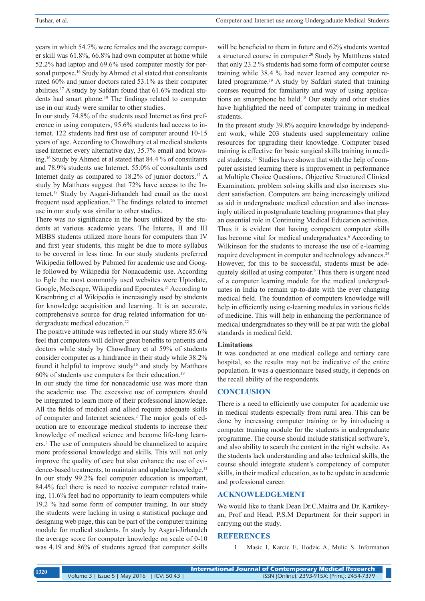years in which 54.7% were females and the average computer skill was 61.8%, 66.8% had own computer at home while 52.2% had laptop and 69.6% used computer mostly for personal purpose.<sup>16</sup> Study by Ahmed et al stated that consultants rated 60% and junior doctors rated 53.1% as their computer abilities.17 A study by Safdari found that 61.6% medical students had smart phone.18 The findings related to computer use in our study were similar to other studies.

In our study 74.8% of the students used Internet as first preference in using computers, 95.6% students had access to internet. 122 students had first use of computer around 10-15 years of age. According to Chowdhury et al medical students used internet every alternative day, 35.7% email and browsing.16 Study by Ahmed et al stated that 84.4 % of consultants and 78.9% students use Internet. 55.0% of consultants used Internet daily as compared to 18.2% of junior doctors.17 A study by Mattheos suggest that 72% have access to the Internet.19 Study by Asgari-Jirhandeh had email as the most frequent used application.20 The findings related to internet use in our study was similar to other studies.

There was no significance in the hours utilized by the students at various academic years. The Interns, II and III MBBS students utilized more hours for computers than IV and first year students, this might be due to more syllabus to be covered in less time. In our study students preferred Wikipedia followed by Pubmed for academic use and Google followed by Wikipedia for Nonacademic use. According to Egle the most commonly used websites were Uptodate, Google, Medscape, Wikipedia and Epocrates.<sup>21</sup> According to Kraenbring et al Wikipedia is increasingly used by students for knowledge acquisition and learning. It is an accurate, comprehensive source for drug related information for undergraduate medical education.<sup>22</sup>

The positive attitude was reflected in our study where 85.6% feel that computers will deliver great benefits to patients and doctors while study by Chowdhury et al 59% of students consider computer as a hindrance in their study while 38.2% found it helpful to improve study<sup>16</sup> and study by Mattheos 60% of students use computers for their education.19

In our study the time for nonacademic use was more than the academic use. The excessive use of computers should be integrated to learn more of their professional knowledge. All the fields of medical and allied require adequate skills of computer and Internet sciences.<sup>2</sup> The major goals of education are to encourage medical students to increase their knowledge of medical science and become life-long learners.3 The use of computers should be channelized to acquire more professional knowledge and skills. This will not only improve the quality of care but also enhance the use of evidence-based treatments, to maintain and update knowledge.<sup>11</sup> In our study 99.2% feel computer education is important, 84.4% feel there is need to receive computer related training, 11.6% feel had no opportunity to learn computers while 19.2 % had some form of computer training. In our study the students were lacking in using a statistical package and designing web page, this can be part of the computer training module for medical students. In study by Asgari-Jirhandeh the average score for computer knowledge on scale of 0-10 was 4.19 and 86% of students agreed that computer skills

will be beneficial to them in future and 62% students wanted a structured course in computer.20 Study by Matttheos stated that only 23.2 % students had some form of computer course training while 38.4 % had never learned any computer related programme.<sup>19</sup> A study by Safdari stated that training courses required for familiarity and way of using applications on smartphone be held.18 Our study and other studies have highlighted the need of computer training in medical students.

In the present study 39.8% acquire knowledge by independent work, while 203 students used supplementary online resources for upgrading their knowledge. Computer based training is effective for basic surgical skills training in medical students.23 Studies have shown that with the help of computer assisted learning there is improvement in performance at Multiple Choice Questions, Objective Structured Clinical Examination, problem solving skills and also increases student satisfaction. Computers are being increasingly utilized as aid in undergraduate medical education and also increasingly utilized in postgraduate teaching programmes that play an essential role in Continuing Medical Education activities. Thus it is evident that having competent computer skills has become vital for medical undergraduates.<sup>6</sup> According to Wilkinson for the students to increase the use of e-learning require development in computer and technology advances.<sup>24</sup> However, for this to be successful, students must be adequately skilled at using computer.9 Thus there is urgent need of a computer learning module for the medical undergraduates in India to remain up-to-date with the ever changing medical field. The foundation of computers knowledge will help in efficiently using e-learning modules in various fields of medicine. This will help in enhancing the performance of medical undergraduates so they will be at par with the global standards in medical field.

#### **Limitations**

It was conducted at one medical college and tertiary care hospital, so the results may not be indicative of the entire population. It was a questionnaire based study, it depends on the recall ability of the respondents.

#### **CONCLUSION**

There is a need to efficiently use computer for academic use in medical students especially from rural area. This can be done by increasing computer training or by introducing a computer training module for the students in undergraduate programme. The course should include statistical software's, and also ability to search the content in the right website. As the students lack understanding and also technical skills, the course should integrate student's competency of computer skills, in their medical education, as to be update in academic and professional career.

#### **ACKNOWLEDGEMENT**

We would like to thank Dean Dr.C.Maitra and Dr. Kartikeyan, Prof and Head, P.S.M Department for their support in carrying out the study.

#### **REFERENCES**

1. Masic I, Karcic E, Hodzic A, Mulic S. Information